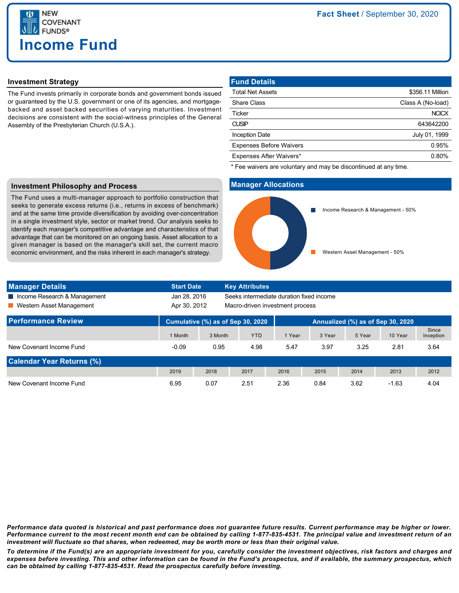

## **Investment Strategy**

The Fund invests primarily in corporate bonds and government bonds issued or guaranteed by the U.S. government or one of its agencies, and mortgagebacked and asset backed securities of varying maturities. Investment decisions are consistent with the social-witness principles of the General Assembly of the Presbyterian Church (U.S.A.).

| \$356.11 Million  |
|-------------------|
| Class A (No-load) |
| <b>NCICX</b>      |
| 643642200         |
| July 01, 1999     |
| 0.95%             |
| 0.80%             |
|                   |

\* Fee waivers are voluntary and may be discontinued at any time.

### **Investment Philosophy and Process**

The Fund uses a multi-manager approach to portfolio construction that seeks to generate excess returns (i.e., returns in excess of benchmark) and at the same time provide diversification by avoiding over-concentration in a single investment style, sector or market trend. Our analysis seeks to identify each manager's competitive advantage and characteristics of that advantage that can be monitored on an ongoing basis. Asset allocation to a given manager is based on the manager's skill set, the current macro economic environment, and the risks inherent in each manager's strategy.



| <b>Manager Details</b>           | <b>Start Date</b>                 |         | <b>Key Attributes</b>                    |                                   |        |        |         |                    |
|----------------------------------|-----------------------------------|---------|------------------------------------------|-----------------------------------|--------|--------|---------|--------------------|
| Income Research & Management     | Jan 28, 2016                      |         | Seeks intermediate duration fixed income |                                   |        |        |         |                    |
| ■ Western Asset Management       | Apr 30, 2012                      |         | Macro-driven investment process          |                                   |        |        |         |                    |
| <b>Performance Review</b>        | Cumulative (%) as of Sep 30, 2020 |         |                                          | Annualized (%) as of Sep 30, 2020 |        |        |         |                    |
|                                  | 1 Month                           | 3 Month | <b>YTD</b>                               | 1 Year                            | 3 Year | 5 Year | 10 Year | Since<br>Inception |
| New Covenant Income Fund         | $-0.09$                           | 0.95    | 4.98                                     | 5.47                              | 3.97   | 3.25   | 2.81    | 3.64               |
| <b>Calendar Year Returns (%)</b> |                                   |         |                                          |                                   |        |        |         |                    |
|                                  | 2019                              | 2018    | 2017                                     | 2016                              | 2015   | 2014   | 2013    | 2012               |
| New Covenant Income Fund         | 6.95                              | 0.07    | 2.51                                     | 2.36                              | 0.84   | 3.62   | $-1.63$ | 4.04               |

*Performance data quoted is historical and past performance does not guarantee future results. Current performance may be higher or lower. Performance current to the most recent month end can be obtained by calling 1-877-835-4531. The principal value and investment return of an investment will fluctuate so that shares, when redeemed, may be worth more or less than their original value.*

*To determine if the Fund(s) are an appropriate investment for you, carefully consider the investment objectives, risk factors and charges and expenses before investing. This and other information can be found in the Fund's prospectus, and if available, the summary prospectus, which can be obtained by calling 1-877-835-4531. Read the prospectus carefully before investing.*